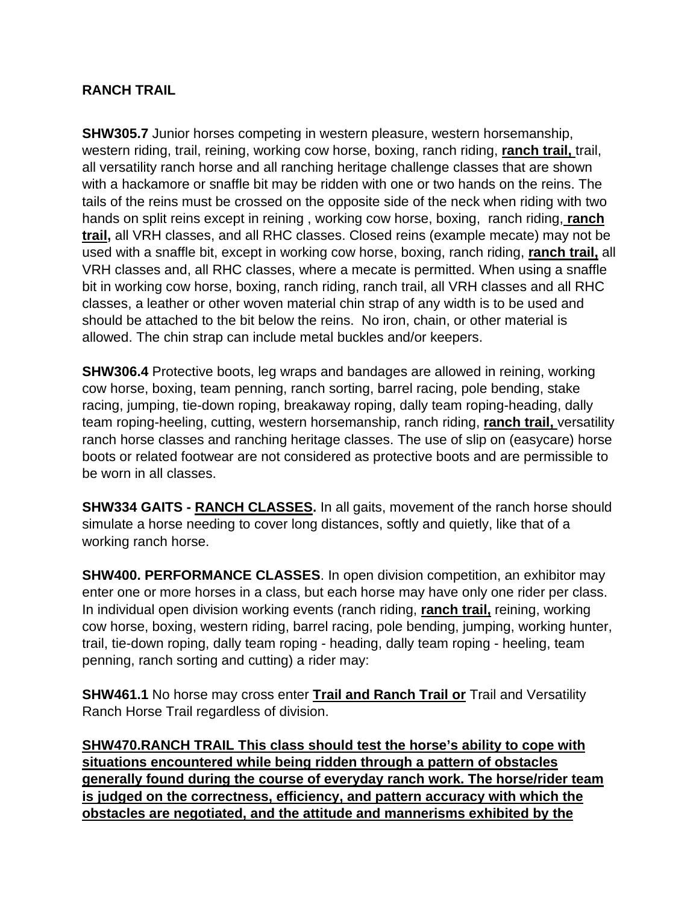#### **RANCH TRAIL**

**SHW305.7** Junior horses competing in western pleasure, western horsemanship, western riding, trail, reining, working cow horse, boxing, ranch riding, **ranch trail,** trail, all versatility ranch horse and all ranching heritage challenge classes that are shown with a hackamore or snaffle bit may be ridden with one or two hands on the reins. The tails of the reins must be crossed on the opposite side of the neck when riding with two hands on split reins except in reining , working cow horse, boxing, ranch riding, **ranch trail,** all VRH classes, and all RHC classes. Closed reins (example mecate) may not be used with a snaffle bit, except in working cow horse, boxing, ranch riding, **ranch trail,** all VRH classes and, all RHC classes, where a mecate is permitted. When using a snaffle bit in working cow horse, boxing, ranch riding, ranch trail, all VRH classes and all RHC classes, a leather or other woven material chin strap of any width is to be used and should be attached to the bit below the reins. No iron, chain, or other material is allowed. The chin strap can include metal buckles and/or keepers.

**SHW306.4** Protective boots, leg wraps and bandages are allowed in reining, working cow horse, boxing, team penning, ranch sorting, barrel racing, pole bending, stake racing, jumping, tie-down roping, breakaway roping, dally team roping-heading, dally team roping-heeling, cutting, western horsemanship, ranch riding, **ranch trail,** versatility ranch horse classes and ranching heritage classes. The use of slip on (easycare) horse boots or related footwear are not considered as protective boots and are permissible to be worn in all classes.

**SHW334 GAITS - RANCH CLASSES.** In all gaits, movement of the ranch horse should simulate a horse needing to cover long distances, softly and quietly, like that of a working ranch horse.

**SHW400. PERFORMANCE CLASSES**. In open division competition, an exhibitor may enter one or more horses in a class, but each horse may have only one rider per class. In individual open division working events (ranch riding, **ranch trail,** reining, working cow horse, boxing, western riding, barrel racing, pole bending, jumping, working hunter, trail, tie-down roping, dally team roping - heading, dally team roping - heeling, team penning, ranch sorting and cutting) a rider may:

**SHW461.1** No horse may cross enter **Trail and Ranch Trail or** Trail and Versatility Ranch Horse Trail regardless of division.

**SHW470.RANCH TRAIL This class should test the horse's ability to cope with situations encountered while being ridden through a pattern of obstacles generally found during the course of everyday ranch work. The horse/rider team is judged on the correctness, efficiency, and pattern accuracy with which the obstacles are negotiated, and the attitude and mannerisms exhibited by the**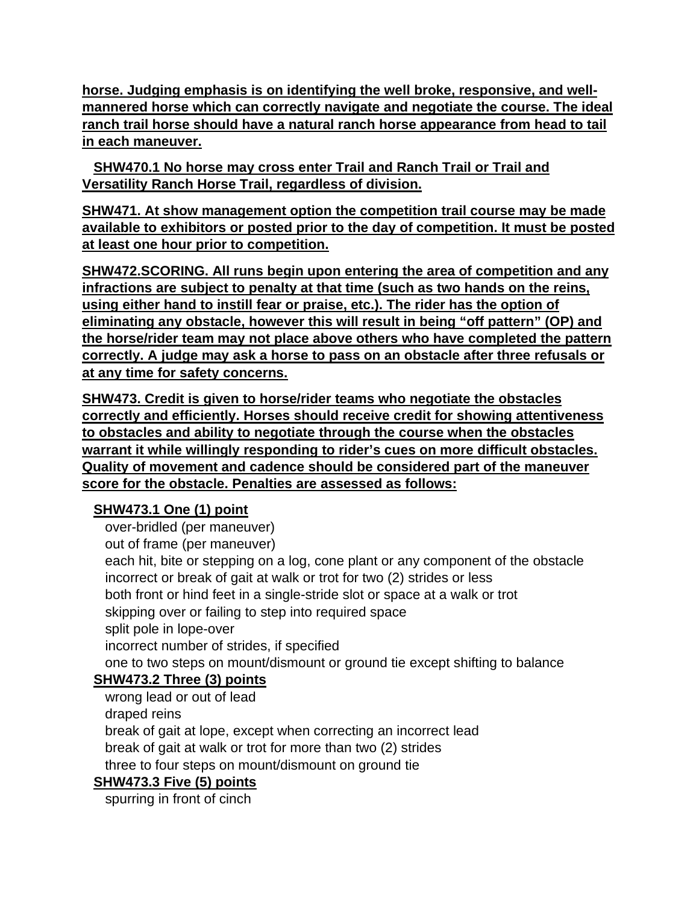**horse. Judging emphasis is on identifying the well broke, responsive, and wellmannered horse which can correctly navigate and negotiate the course. The ideal ranch trail horse should have a natural ranch horse appearance from head to tail in each maneuver.**

 **SHW470.1 No horse may cross enter Trail and Ranch Trail or Trail and Versatility Ranch Horse Trail, regardless of division.** 

**SHW471. At show management option the competition trail course may be made available to exhibitors or posted prior to the day of competition. It must be posted at least one hour prior to competition.** 

**SHW472.SCORING. All runs begin upon entering the area of competition and any infractions are subject to penalty at that time (such as two hands on the reins, using either hand to instill fear or praise, etc.). The rider has the option of eliminating any obstacle, however this will result in being "off pattern" (OP) and the horse/rider team may not place above others who have completed the pattern correctly. A judge may ask a horse to pass on an obstacle after three refusals or at any time for safety concerns.** 

**SHW473. Credit is given to horse/rider teams who negotiate the obstacles correctly and efficiently. Horses should receive credit for showing attentiveness to obstacles and ability to negotiate through the course when the obstacles warrant it while willingly responding to rider's cues on more difficult obstacles. Quality of movement and cadence should be considered part of the maneuver score for the obstacle. Penalties are assessed as follows:** 

# **SHW473.1 One (1) point**

over-bridled (per maneuver) out of frame (per maneuver) each hit, bite or stepping on a log, cone plant or any component of the obstacle incorrect or break of gait at walk or trot for two (2) strides or less both front or hind feet in a single-stride slot or space at a walk or trot skipping over or failing to step into required space split pole in lope-over incorrect number of strides, if specified one to two steps on mount/dismount or ground tie except shifting to balance

# **SHW473.2 Three (3) points**

 wrong lead or out of lead draped reins break of gait at lope, except when correcting an incorrect lead break of gait at walk or trot for more than two (2) strides three to four steps on mount/dismount on ground tie

### **SHW473.3 Five (5) points**

spurring in front of cinch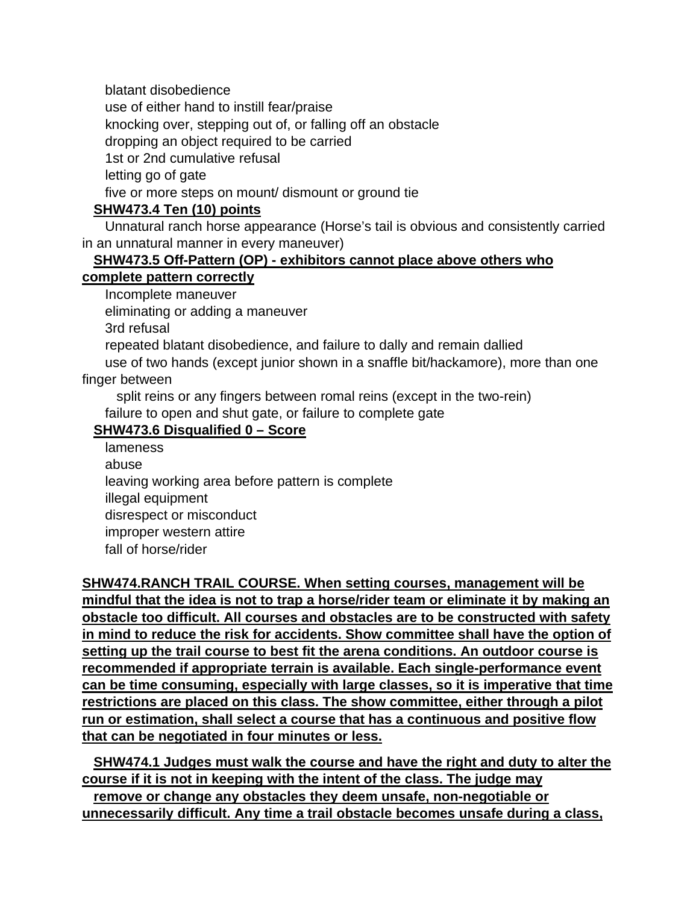blatant disobedience use of either hand to instill fear/praise knocking over, stepping out of, or falling off an obstacle dropping an object required to be carried 1st or 2nd cumulative refusal letting go of gate five or more steps on mount/ dismount or ground tie

## **SHW473.4 Ten (10) points**

 Unnatural ranch horse appearance (Horse's tail is obvious and consistently carried in an unnatural manner in every maneuver)

### **SHW473.5 Off-Pattern (OP) - exhibitors cannot place above others who**

### **complete pattern correctly**

Incomplete maneuver

eliminating or adding a maneuver

3rd refusal

repeated blatant disobedience, and failure to dally and remain dallied

 use of two hands (except junior shown in a snaffle bit/hackamore), more than one finger between

split reins or any fingers between romal reins (except in the two-rein)

failure to open and shut gate, or failure to complete gate

### **SHW473.6 Disqualified 0 – Score**

lameness abuse leaving working area before pattern is complete illegal equipment disrespect or misconduct improper western attire fall of horse/rider

**SHW474.RANCH TRAIL COURSE. When setting courses, management will be mindful that the idea is not to trap a horse/rider team or eliminate it by making an obstacle too difficult. All courses and obstacles are to be constructed with safety in mind to reduce the risk for accidents. Show committee shall have the option of setting up the trail course to best fit the arena conditions. An outdoor course is recommended if appropriate terrain is available. Each single-performance event can be time consuming, especially with large classes, so it is imperative that time restrictions are placed on this class. The show committee, either through a pilot run or estimation, shall select a course that has a continuous and positive flow that can be negotiated in four minutes or less.** 

 **SHW474.1 Judges must walk the course and have the right and duty to alter the course if it is not in keeping with the intent of the class. The judge may** 

 **remove or change any obstacles they deem unsafe, non-negotiable or unnecessarily difficult. Any time a trail obstacle becomes unsafe during a class,**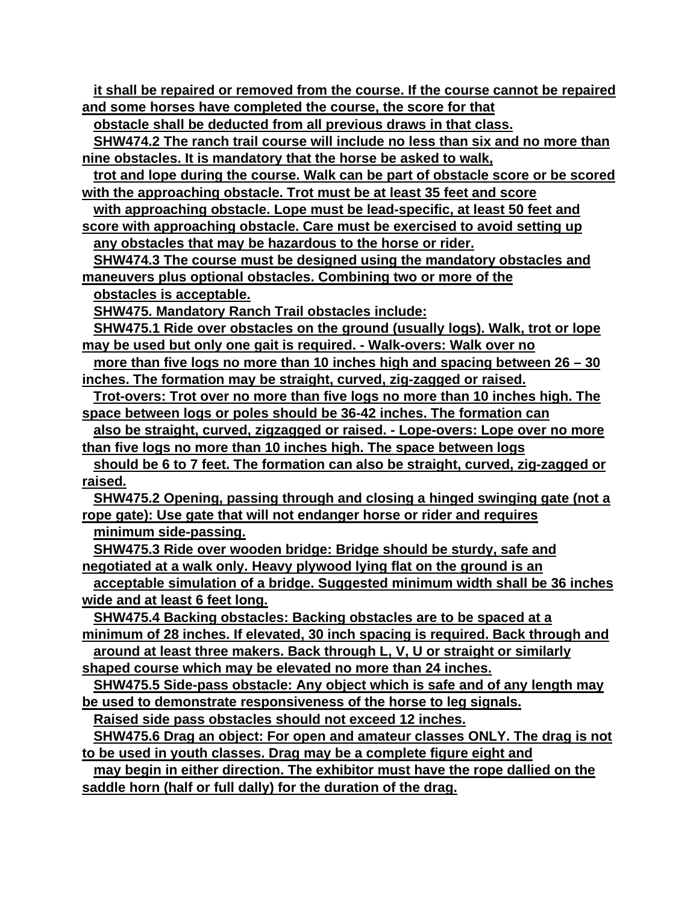**it shall be repaired or removed from the course. If the course cannot be repaired and some horses have completed the course, the score for that** 

 **obstacle shall be deducted from all previous draws in that class.** 

 **SHW474.2 The ranch trail course will include no less than six and no more than nine obstacles. It is mandatory that the horse be asked to walk,** 

 **trot and lope during the course. Walk can be part of obstacle score or be scored with the approaching obstacle. Trot must be at least 35 feet and score** 

 **with approaching obstacle. Lope must be lead-specific, at least 50 feet and** 

**score with approaching obstacle. Care must be exercised to avoid setting up any obstacles that may be hazardous to the horse or rider.** 

 **SHW474.3 The course must be designed using the mandatory obstacles and maneuvers plus optional obstacles. Combining two or more of the**

 **obstacles is acceptable.**

 **SHW475. Mandatory Ranch Trail obstacles include:**

 **SHW475.1 Ride over obstacles on the ground (usually logs). Walk, trot or lope may be used but only one gait is required. - Walk-overs: Walk over no** 

 **more than five logs no more than 10 inches high and spacing between 26 – 30 inches. The formation may be straight, curved, zig-zagged or raised.** 

 **Trot-overs: Trot over no more than five logs no more than 10 inches high. The space between logs or poles should be 36-42 inches. The formation can** 

 **also be straight, curved, zigzagged or raised. - Lope-overs: Lope over no more than five logs no more than 10 inches high. The space between logs** 

 **should be 6 to 7 feet. The formation can also be straight, curved, zig-zagged or raised.** 

 **SHW475.2 Opening, passing through and closing a hinged swinging gate (not a rope gate): Use gate that will not endanger horse or rider and requires minimum side-passing.**

 **SHW475.3 Ride over wooden bridge: Bridge should be sturdy, safe and negotiated at a walk only. Heavy plywood lying flat on the ground is an** 

 **acceptable simulation of a bridge. Suggested minimum width shall be 36 inches wide and at least 6 feet long.** 

 **SHW475.4 Backing obstacles: Backing obstacles are to be spaced at a minimum of 28 inches. If elevated, 30 inch spacing is required. Back through and** 

 **around at least three makers. Back through L, V, U or straight or similarly shaped course which may be elevated no more than 24 inches.** 

 **SHW475.5 Side-pass obstacle: Any object which is safe and of any length may be used to demonstrate responsiveness of the horse to leg signals.** 

 **Raised side pass obstacles should not exceed 12 inches.** 

 **SHW475.6 Drag an object: For open and amateur classes ONLY. The drag is not to be used in youth classes. Drag may be a complete figure eight and** 

 **may begin in either direction. The exhibitor must have the rope dallied on the saddle horn (half or full dally) for the duration of the drag.**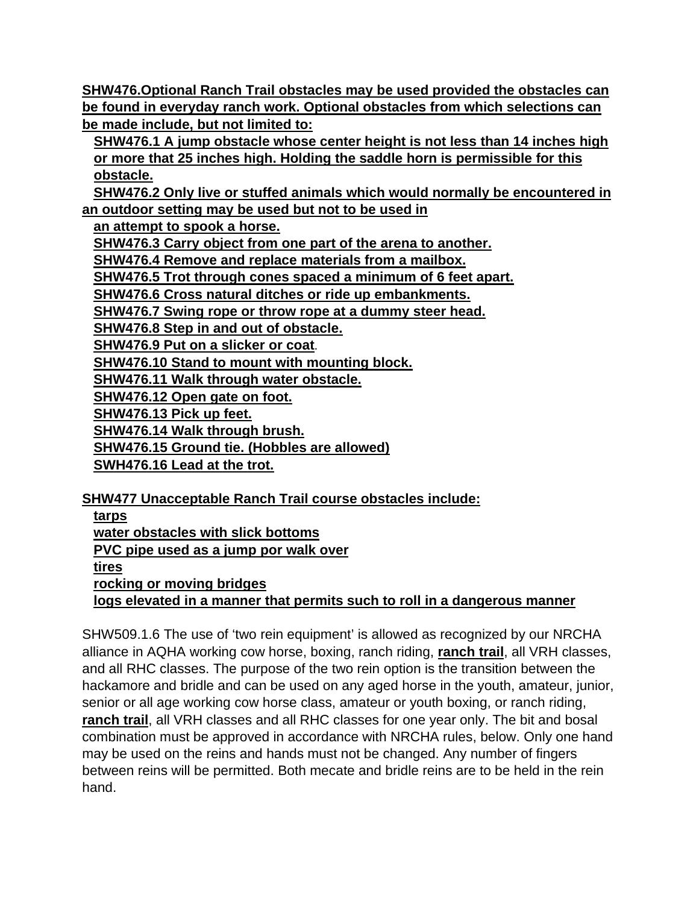**SHW476.Optional Ranch Trail obstacles may be used provided the obstacles can be found in everyday ranch work. Optional obstacles from which selections can be made include, but not limited to:**

**SHW476.1 A jump obstacle whose center height is not less than 14 inches high or more that 25 inches high. Holding the saddle horn is permissible for this obstacle.**

 **SHW476.2 Only live or stuffed animals which would normally be encountered in an outdoor setting may be used but not to be used in** 

 **an attempt to spook a horse.** 

 **SHW476.3 Carry object from one part of the arena to another.** 

 **SHW476.4 Remove and replace materials from a mailbox.**

 **SHW476.5 Trot through cones spaced a minimum of 6 feet apart.** 

 **SHW476.6 Cross natural ditches or ride up embankments.** 

 **SHW476.7 Swing rope or throw rope at a dummy steer head.** 

 **SHW476.8 Step in and out of obstacle.** 

 **SHW476.9 Put on a slicker or coat**.

**SHW476.10 Stand to mount with mounting block.** 

 **SHW476.11 Walk through water obstacle.**

 **SHW476.12 Open gate on foot.**

 **SHW476.13 Pick up feet.** 

 **SHW476.14 Walk through brush.**

 **SHW476.15 Ground tie. (Hobbles are allowed)** 

 **SWH476.16 Lead at the trot.** 

**SHW477 Unacceptable Ranch Trail course obstacles include:**

| tarps                                                                     |
|---------------------------------------------------------------------------|
| water obstacles with slick bottoms                                        |
| PVC pipe used as a jump por walk over                                     |
| tires                                                                     |
| rocking or moving bridges                                                 |
| logs elevated in a manner that permits such to roll in a dangerous manner |
|                                                                           |

SHW509.1.6 The use of 'two rein equipment' is allowed as recognized by our NRCHA alliance in AQHA working cow horse, boxing, ranch riding, **ranch trail**, all VRH classes, and all RHC classes. The purpose of the two rein option is the transition between the hackamore and bridle and can be used on any aged horse in the youth, amateur, junior, senior or all age working cow horse class, amateur or youth boxing, or ranch riding, **ranch trail**, all VRH classes and all RHC classes for one year only. The bit and bosal combination must be approved in accordance with NRCHA rules, below. Only one hand may be used on the reins and hands must not be changed. Any number of fingers between reins will be permitted. Both mecate and bridle reins are to be held in the rein hand.